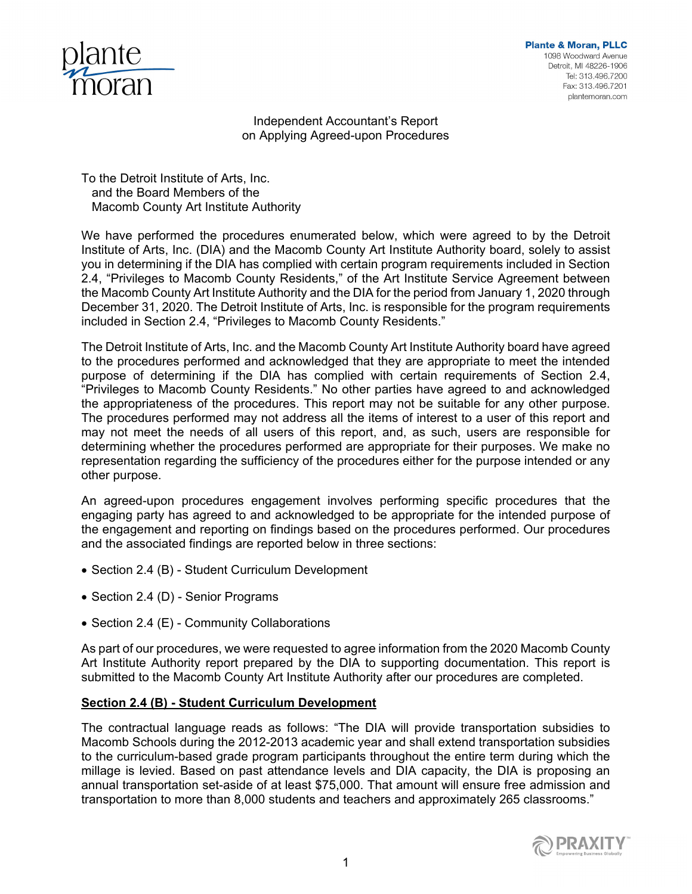

**Plante & Moran, PLLC** 1098 Woodward Avenue Detroit, MI 48226-1906 Tel: 313.496.7200 Fax: 313.496.7201 plantemoran.com

## Independent Accountant's Report on Applying Agreed-upon Procedures

To the Detroit Institute of Arts, Inc. and the Board Members of the Macomb County Art Institute Authority

We have performed the procedures enumerated below, which were agreed to by the Detroit Institute of Arts, Inc. (DIA) and the Macomb County Art Institute Authority board, solely to assist you in determining if the DIA has complied with certain program requirements included in Section 2.4, "Privileges to Macomb County Residents," of the Art Institute Service Agreement between the Macomb County Art Institute Authority and the DIA for the period from January 1, 2020 through December 31, 2020. The Detroit Institute of Arts, Inc. is responsible for the program requirements included in Section 2.4, "Privileges to Macomb County Residents."

The Detroit Institute of Arts, Inc. and the Macomb County Art Institute Authority board have agreed to the procedures performed and acknowledged that they are appropriate to meet the intended purpose of determining if the DIA has complied with certain requirements of Section 2.4, "Privileges to Macomb County Residents." No other parties have agreed to and acknowledged the appropriateness of the procedures. This report may not be suitable for any other purpose. The procedures performed may not address all the items of interest to a user of this report and may not meet the needs of all users of this report, and, as such, users are responsible for determining whether the procedures performed are appropriate for their purposes. We make no representation regarding the sufficiency of the procedures either for the purpose intended or any other purpose.

An agreed-upon procedures engagement involves performing specific procedures that the engaging party has agreed to and acknowledged to be appropriate for the intended purpose of the engagement and reporting on findings based on the procedures performed. Our procedures and the associated findings are reported below in three sections:

- Section 2.4 (B) Student Curriculum Development
- Section 2.4 (D) Senior Programs
- Section 2.4 (E) Community Collaborations

As part of our procedures, we were requested to agree information from the 2020 Macomb County Art Institute Authority report prepared by the DIA to supporting documentation. This report is submitted to the Macomb County Art Institute Authority after our procedures are completed.

## **Section 2.4 (B) - Student Curriculum Development**

The contractual language reads as follows: "The DIA will provide transportation subsidies to Macomb Schools during the 2012-2013 academic year and shall extend transportation subsidies to the curriculum-based grade program participants throughout the entire term during which the millage is levied. Based on past attendance levels and DIA capacity, the DIA is proposing an annual transportation set-aside of at least \$75,000. That amount will ensure free admission and transportation to more than 8,000 students and teachers and approximately 265 classrooms."

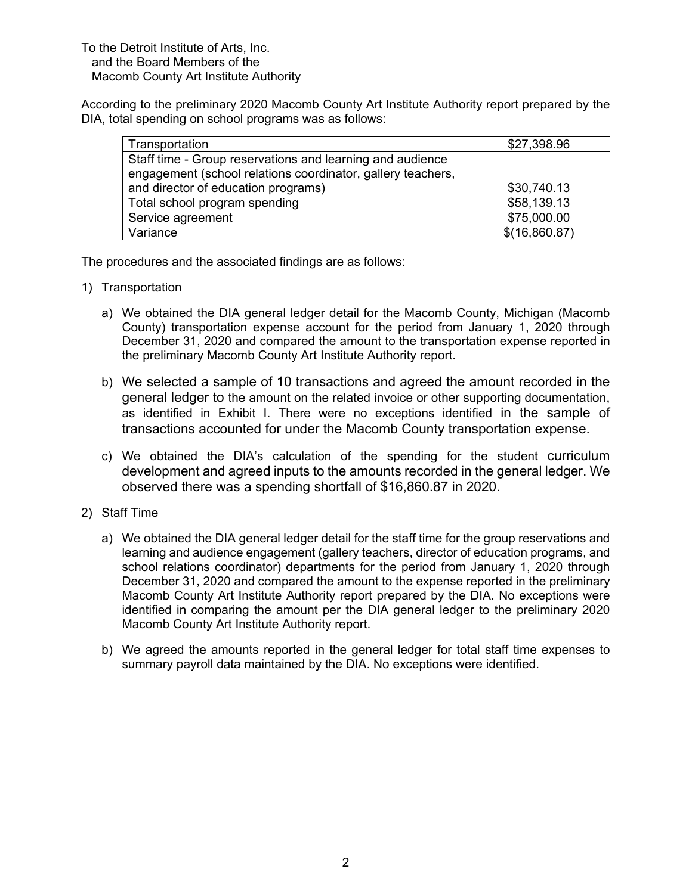According to the preliminary 2020 Macomb County Art Institute Authority report prepared by the DIA, total spending on school programs was as follows:

| Transportation                                              | \$27,398.96   |
|-------------------------------------------------------------|---------------|
| Staff time - Group reservations and learning and audience   |               |
| engagement (school relations coordinator, gallery teachers, |               |
| and director of education programs)                         | \$30,740.13   |
| Total school program spending                               | \$58,139.13   |
| Service agreement                                           | \$75,000.00   |
| Variance                                                    | \$(16,860.87) |

The procedures and the associated findings are as follows:

- 1) Transportation
	- a) We obtained the DIA general ledger detail for the Macomb County, Michigan (Macomb County) transportation expense account for the period from January 1, 2020 through December 31, 2020 and compared the amount to the transportation expense reported in the preliminary Macomb County Art Institute Authority report.
	- b) We selected a sample of 10 transactions and agreed the amount recorded in the general ledger to the amount on the related invoice or other supporting documentation, as identified in Exhibit I. There were no exceptions identified in the sample of transactions accounted for under the Macomb County transportation expense.
	- c) We obtained the DIA's calculation of the spending for the student curriculum development and agreed inputs to the amounts recorded in the general ledger. We observed there was a spending shortfall of \$16,860.87 in 2020.
- 2) Staff Time
	- a) We obtained the DIA general ledger detail for the staff time for the group reservations and learning and audience engagement (gallery teachers, director of education programs, and school relations coordinator) departments for the period from January 1, 2020 through December 31, 2020 and compared the amount to the expense reported in the preliminary Macomb County Art Institute Authority report prepared by the DIA. No exceptions were identified in comparing the amount per the DIA general ledger to the preliminary 2020 Macomb County Art Institute Authority report.
	- b) We agreed the amounts reported in the general ledger for total staff time expenses to summary payroll data maintained by the DIA. No exceptions were identified.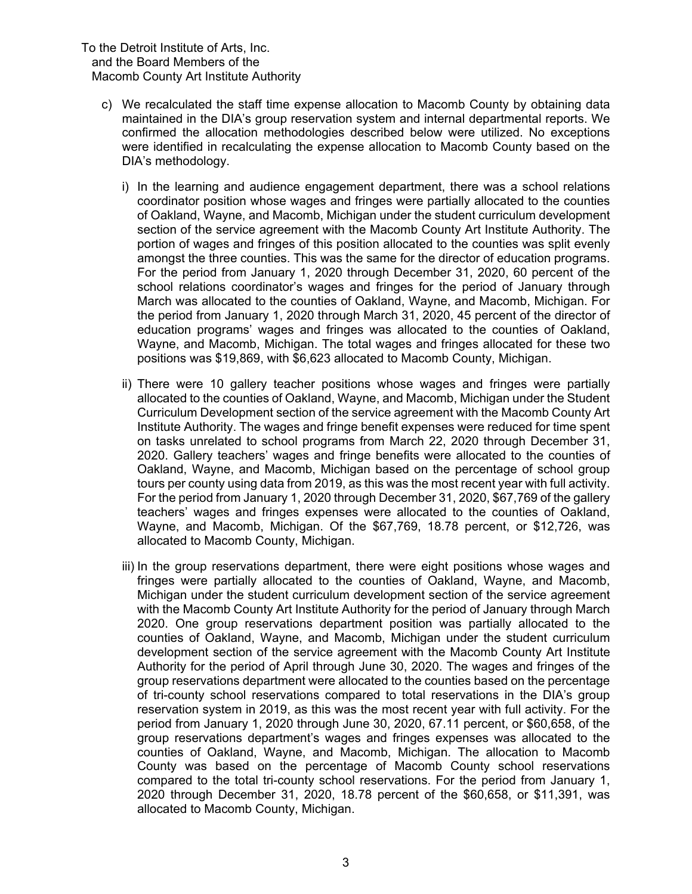- c) We recalculated the staff time expense allocation to Macomb County by obtaining data maintained in the DIA's group reservation system and internal departmental reports. We confirmed the allocation methodologies described below were utilized. No exceptions were identified in recalculating the expense allocation to Macomb County based on the DIA's methodology.
	- i) In the learning and audience engagement department, there was a school relations coordinator position whose wages and fringes were partially allocated to the counties of Oakland, Wayne, and Macomb, Michigan under the student curriculum development section of the service agreement with the Macomb County Art Institute Authority. The portion of wages and fringes of this position allocated to the counties was split evenly amongst the three counties. This was the same for the director of education programs. For the period from January 1, 2020 through December 31, 2020, 60 percent of the school relations coordinator's wages and fringes for the period of January through March was allocated to the counties of Oakland, Wayne, and Macomb, Michigan. For the period from January 1, 2020 through March 31, 2020, 45 percent of the director of education programs' wages and fringes was allocated to the counties of Oakland, Wayne, and Macomb, Michigan. The total wages and fringes allocated for these two positions was \$19,869, with \$6,623 allocated to Macomb County, Michigan.
	- ii) There were 10 gallery teacher positions whose wages and fringes were partially allocated to the counties of Oakland, Wayne, and Macomb, Michigan under the Student Curriculum Development section of the service agreement with the Macomb County Art Institute Authority. The wages and fringe benefit expenses were reduced for time spent on tasks unrelated to school programs from March 22, 2020 through December 31, 2020. Gallery teachers' wages and fringe benefits were allocated to the counties of Oakland, Wayne, and Macomb, Michigan based on the percentage of school group tours per county using data from 2019, as this was the most recent year with full activity. For the period from January 1, 2020 through December 31, 2020, \$67,769 of the gallery teachers' wages and fringes expenses were allocated to the counties of Oakland, Wayne, and Macomb, Michigan. Of the \$67,769, 18.78 percent, or \$12,726, was allocated to Macomb County, Michigan.
	- iii) In the group reservations department, there were eight positions whose wages and fringes were partially allocated to the counties of Oakland, Wayne, and Macomb, Michigan under the student curriculum development section of the service agreement with the Macomb County Art Institute Authority for the period of January through March 2020. One group reservations department position was partially allocated to the counties of Oakland, Wayne, and Macomb, Michigan under the student curriculum development section of the service agreement with the Macomb County Art Institute Authority for the period of April through June 30, 2020. The wages and fringes of the group reservations department were allocated to the counties based on the percentage of tri-county school reservations compared to total reservations in the DIA's group reservation system in 2019, as this was the most recent year with full activity. For the period from January 1, 2020 through June 30, 2020, 67.11 percent, or \$60,658, of the group reservations department's wages and fringes expenses was allocated to the counties of Oakland, Wayne, and Macomb, Michigan. The allocation to Macomb County was based on the percentage of Macomb County school reservations compared to the total tri-county school reservations. For the period from January 1, 2020 through December 31, 2020, 18.78 percent of the \$60,658, or \$11,391, was allocated to Macomb County, Michigan.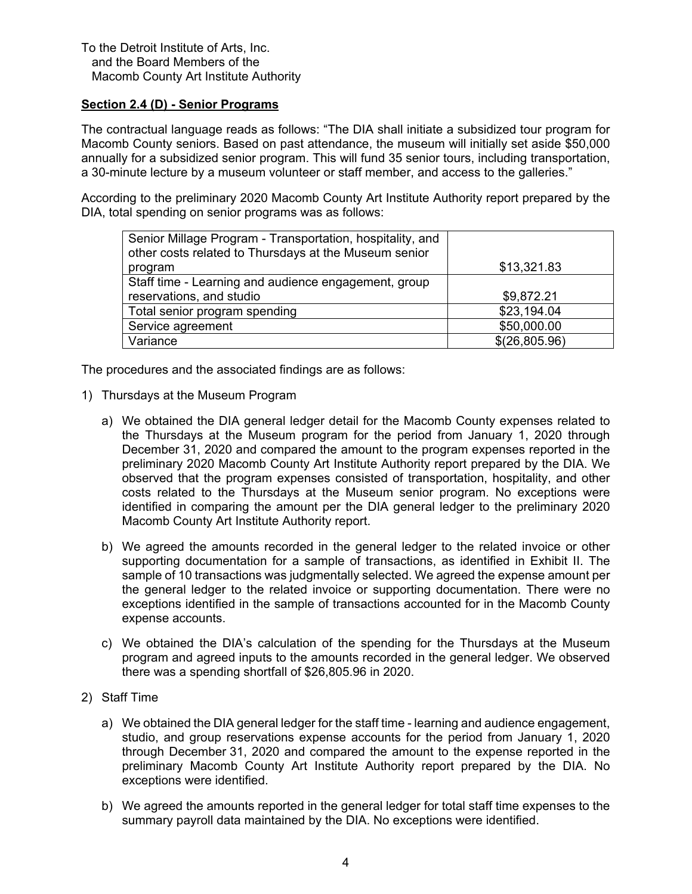## **Section 2.4 (D) - Senior Programs**

The contractual language reads as follows: "The DIA shall initiate a subsidized tour program for Macomb County seniors. Based on past attendance, the museum will initially set aside \$50,000 annually for a subsidized senior program. This will fund 35 senior tours, including transportation, a 30-minute lecture by a museum volunteer or staff member, and access to the galleries."

According to the preliminary 2020 Macomb County Art Institute Authority report prepared by the DIA, total spending on senior programs was as follows:

| Senior Millage Program - Transportation, hospitality, and |               |
|-----------------------------------------------------------|---------------|
| other costs related to Thursdays at the Museum senior     |               |
| program                                                   | \$13,321.83   |
| Staff time - Learning and audience engagement, group      |               |
| reservations, and studio                                  | \$9,872.21    |
| Total senior program spending                             | \$23,194.04   |
| Service agreement                                         | \$50,000.00   |
| Variance                                                  | \$(26,805.96) |

The procedures and the associated findings are as follows:

- 1) Thursdays at the Museum Program
	- a) We obtained the DIA general ledger detail for the Macomb County expenses related to the Thursdays at the Museum program for the period from January 1, 2020 through December 31, 2020 and compared the amount to the program expenses reported in the preliminary 2020 Macomb County Art Institute Authority report prepared by the DIA. We observed that the program expenses consisted of transportation, hospitality, and other costs related to the Thursdays at the Museum senior program. No exceptions were identified in comparing the amount per the DIA general ledger to the preliminary 2020 Macomb County Art Institute Authority report.
	- b) We agreed the amounts recorded in the general ledger to the related invoice or other supporting documentation for a sample of transactions, as identified in Exhibit II. The sample of 10 transactions was judgmentally selected. We agreed the expense amount per the general ledger to the related invoice or supporting documentation. There were no exceptions identified in the sample of transactions accounted for in the Macomb County expense accounts.
	- c) We obtained the DIA's calculation of the spending for the Thursdays at the Museum program and agreed inputs to the amounts recorded in the general ledger. We observed there was a spending shortfall of \$26,805.96 in 2020.
- 2) Staff Time
	- a) We obtained the DIA general ledger for the staff time learning and audience engagement, studio, and group reservations expense accounts for the period from January 1, 2020 through December 31, 2020 and compared the amount to the expense reported in the preliminary Macomb County Art Institute Authority report prepared by the DIA. No exceptions were identified.
	- b) We agreed the amounts reported in the general ledger for total staff time expenses to the summary payroll data maintained by the DIA. No exceptions were identified.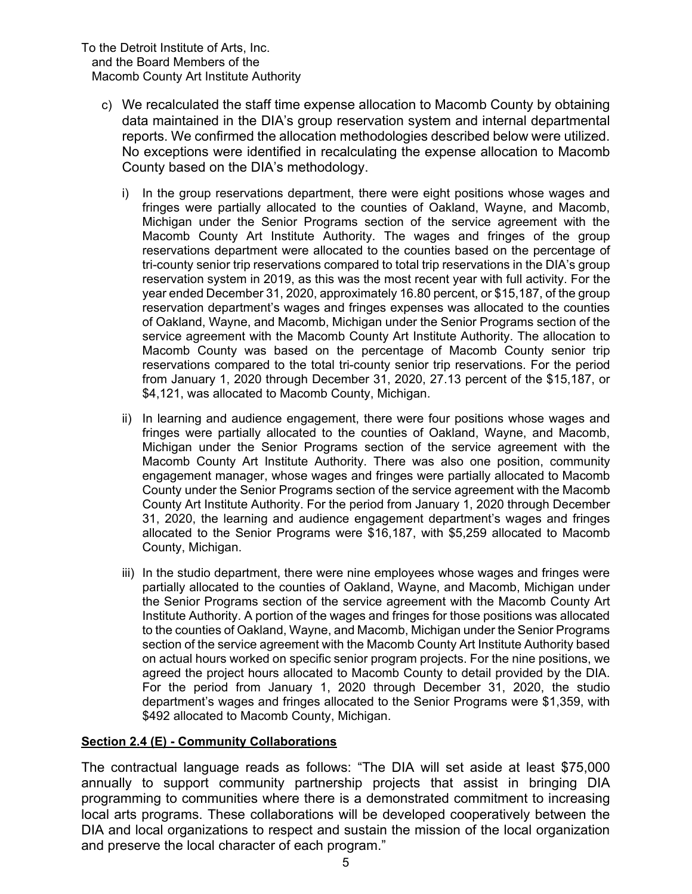- c) We recalculated the staff time expense allocation to Macomb County by obtaining data maintained in the DIA's group reservation system and internal departmental reports. We confirmed the allocation methodologies described below were utilized. No exceptions were identified in recalculating the expense allocation to Macomb County based on the DIA's methodology.
	- i) In the group reservations department, there were eight positions whose wages and fringes were partially allocated to the counties of Oakland, Wayne, and Macomb, Michigan under the Senior Programs section of the service agreement with the Macomb County Art Institute Authority. The wages and fringes of the group reservations department were allocated to the counties based on the percentage of tri-county senior trip reservations compared to total trip reservations in the DIA's group reservation system in 2019, as this was the most recent year with full activity. For the year ended December 31, 2020, approximately 16.80 percent, or \$15,187, of the group reservation department's wages and fringes expenses was allocated to the counties of Oakland, Wayne, and Macomb, Michigan under the Senior Programs section of the service agreement with the Macomb County Art Institute Authority. The allocation to Macomb County was based on the percentage of Macomb County senior trip reservations compared to the total tri-county senior trip reservations. For the period from January 1, 2020 through December 31, 2020, 27.13 percent of the \$15,187, or \$4,121, was allocated to Macomb County, Michigan.
	- ii) In learning and audience engagement, there were four positions whose wages and fringes were partially allocated to the counties of Oakland, Wayne, and Macomb, Michigan under the Senior Programs section of the service agreement with the Macomb County Art Institute Authority. There was also one position, community engagement manager, whose wages and fringes were partially allocated to Macomb County under the Senior Programs section of the service agreement with the Macomb County Art Institute Authority. For the period from January 1, 2020 through December 31, 2020, the learning and audience engagement department's wages and fringes allocated to the Senior Programs were \$16,187, with \$5,259 allocated to Macomb County, Michigan.
	- iii) In the studio department, there were nine employees whose wages and fringes were partially allocated to the counties of Oakland, Wayne, and Macomb, Michigan under the Senior Programs section of the service agreement with the Macomb County Art Institute Authority. A portion of the wages and fringes for those positions was allocated to the counties of Oakland, Wayne, and Macomb, Michigan under the Senior Programs section of the service agreement with the Macomb County Art Institute Authority based on actual hours worked on specific senior program projects. For the nine positions, we agreed the project hours allocated to Macomb County to detail provided by the DIA. For the period from January 1, 2020 through December 31, 2020, the studio department's wages and fringes allocated to the Senior Programs were \$1,359, with \$492 allocated to Macomb County, Michigan.

# **Section 2.4 (E) - Community Collaborations**

The contractual language reads as follows: "The DIA will set aside at least \$75,000 annually to support community partnership projects that assist in bringing DIA programming to communities where there is a demonstrated commitment to increasing local arts programs. These collaborations will be developed cooperatively between the DIA and local organizations to respect and sustain the mission of the local organization and preserve the local character of each program."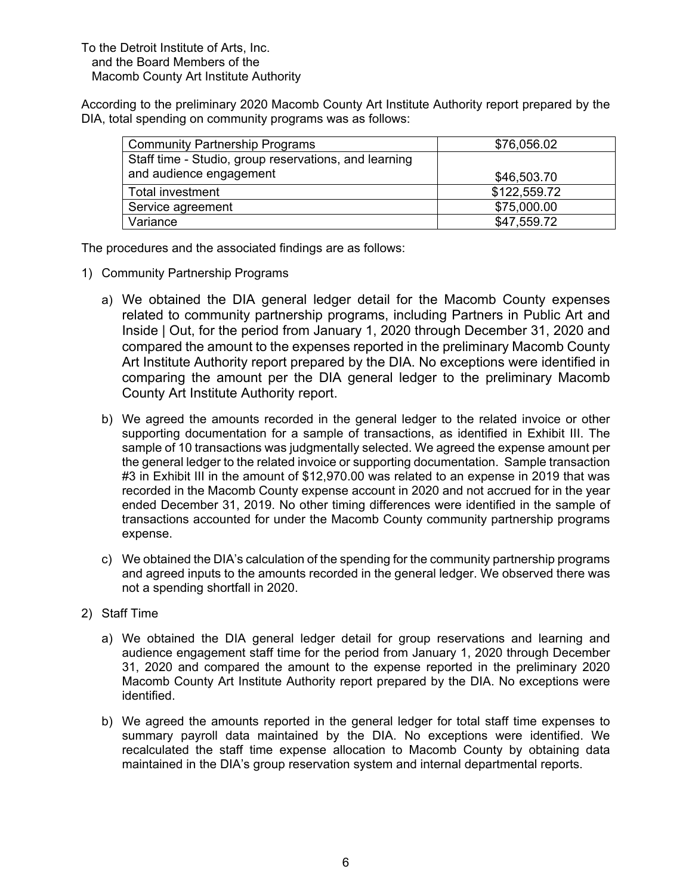According to the preliminary 2020 Macomb County Art Institute Authority report prepared by the DIA, total spending on community programs was as follows:

| <b>Community Partnership Programs</b>                 | \$76,056.02  |
|-------------------------------------------------------|--------------|
| Staff time - Studio, group reservations, and learning |              |
| and audience engagement                               | \$46,503.70  |
| Total investment                                      | \$122,559.72 |
| Service agreement                                     | \$75,000.00  |
| Variance                                              | \$47,559.72  |

The procedures and the associated findings are as follows:

- 1) Community Partnership Programs
	- a) We obtained the DIA general ledger detail for the Macomb County expenses related to community partnership programs, including Partners in Public Art and Inside | Out, for the period from January 1, 2020 through December 31, 2020 and compared the amount to the expenses reported in the preliminary Macomb County Art Institute Authority report prepared by the DIA. No exceptions were identified in comparing the amount per the DIA general ledger to the preliminary Macomb County Art Institute Authority report.
	- b) We agreed the amounts recorded in the general ledger to the related invoice or other supporting documentation for a sample of transactions, as identified in Exhibit III. The sample of 10 transactions was judgmentally selected. We agreed the expense amount per the general ledger to the related invoice or supporting documentation. Sample transaction #3 in Exhibit III in the amount of \$12,970.00 was related to an expense in 2019 that was recorded in the Macomb County expense account in 2020 and not accrued for in the year ended December 31, 2019. No other timing differences were identified in the sample of transactions accounted for under the Macomb County community partnership programs expense.
	- c) We obtained the DIA's calculation of the spending for the community partnership programs and agreed inputs to the amounts recorded in the general ledger. We observed there was not a spending shortfall in 2020.
- 2) Staff Time
	- a) We obtained the DIA general ledger detail for group reservations and learning and audience engagement staff time for the period from January 1, 2020 through December 31, 2020 and compared the amount to the expense reported in the preliminary 2020 Macomb County Art Institute Authority report prepared by the DIA. No exceptions were identified.
	- b) We agreed the amounts reported in the general ledger for total staff time expenses to summary payroll data maintained by the DIA. No exceptions were identified. We recalculated the staff time expense allocation to Macomb County by obtaining data maintained in the DIA's group reservation system and internal departmental reports.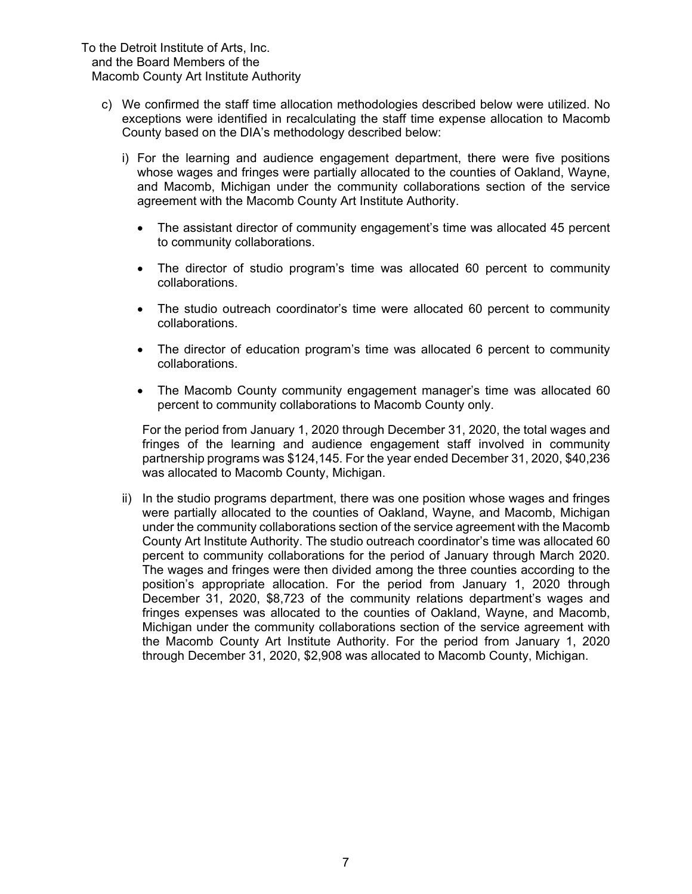- c) We confirmed the staff time allocation methodologies described below were utilized. No exceptions were identified in recalculating the staff time expense allocation to Macomb County based on the DIA's methodology described below:
	- i) For the learning and audience engagement department, there were five positions whose wages and fringes were partially allocated to the counties of Oakland, Wayne, and Macomb, Michigan under the community collaborations section of the service agreement with the Macomb County Art Institute Authority.
		- The assistant director of community engagement's time was allocated 45 percent to community collaborations.
		- The director of studio program's time was allocated 60 percent to community collaborations.
		- The studio outreach coordinator's time were allocated 60 percent to community collaborations.
		- The director of education program's time was allocated 6 percent to community collaborations.
		- The Macomb County community engagement manager's time was allocated 60 percent to community collaborations to Macomb County only.

For the period from January 1, 2020 through December 31, 2020, the total wages and fringes of the learning and audience engagement staff involved in community partnership programs was \$124,145. For the year ended December 31, 2020, \$40,236 was allocated to Macomb County, Michigan.

ii) In the studio programs department, there was one position whose wages and fringes were partially allocated to the counties of Oakland, Wayne, and Macomb, Michigan under the community collaborations section of the service agreement with the Macomb County Art Institute Authority. The studio outreach coordinator's time was allocated 60 percent to community collaborations for the period of January through March 2020. The wages and fringes were then divided among the three counties according to the position's appropriate allocation. For the period from January 1, 2020 through December 31, 2020, \$8,723 of the community relations department's wages and fringes expenses was allocated to the counties of Oakland, Wayne, and Macomb, Michigan under the community collaborations section of the service agreement with the Macomb County Art Institute Authority. For the period from January 1, 2020 through December 31, 2020, \$2,908 was allocated to Macomb County, Michigan.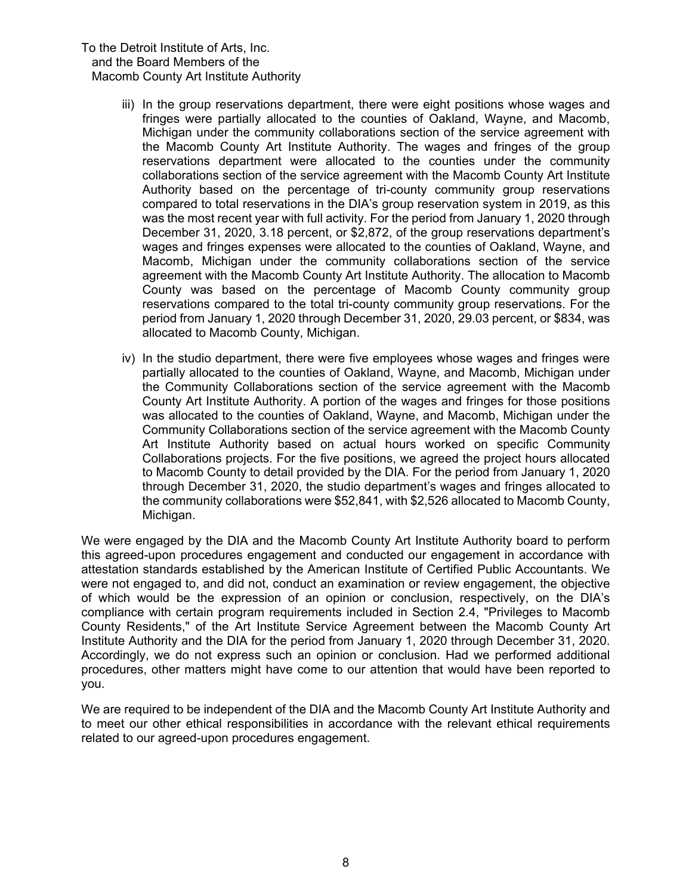- iii) In the group reservations department, there were eight positions whose wages and fringes were partially allocated to the counties of Oakland, Wayne, and Macomb, Michigan under the community collaborations section of the service agreement with the Macomb County Art Institute Authority. The wages and fringes of the group reservations department were allocated to the counties under the community collaborations section of the service agreement with the Macomb County Art Institute Authority based on the percentage of tri-county community group reservations compared to total reservations in the DIA's group reservation system in 2019, as this was the most recent year with full activity. For the period from January 1, 2020 through December 31, 2020, 3.18 percent, or \$2,872, of the group reservations department's wages and fringes expenses were allocated to the counties of Oakland, Wayne, and Macomb, Michigan under the community collaborations section of the service agreement with the Macomb County Art Institute Authority. The allocation to Macomb County was based on the percentage of Macomb County community group reservations compared to the total tri-county community group reservations. For the period from January 1, 2020 through December 31, 2020, 29.03 percent, or \$834, was allocated to Macomb County, Michigan.
- iv) In the studio department, there were five employees whose wages and fringes were partially allocated to the counties of Oakland, Wayne, and Macomb, Michigan under the Community Collaborations section of the service agreement with the Macomb County Art Institute Authority. A portion of the wages and fringes for those positions was allocated to the counties of Oakland, Wayne, and Macomb, Michigan under the Community Collaborations section of the service agreement with the Macomb County Art Institute Authority based on actual hours worked on specific Community Collaborations projects. For the five positions, we agreed the project hours allocated to Macomb County to detail provided by the DIA. For the period from January 1, 2020 through December 31, 2020, the studio department's wages and fringes allocated to the community collaborations were \$52,841, with \$2,526 allocated to Macomb County, Michigan.

We were engaged by the DIA and the Macomb County Art Institute Authority board to perform this agreed-upon procedures engagement and conducted our engagement in accordance with attestation standards established by the American Institute of Certified Public Accountants. We were not engaged to, and did not, conduct an examination or review engagement, the objective of which would be the expression of an opinion or conclusion, respectively, on the DIA's compliance with certain program requirements included in Section 2.4, "Privileges to Macomb County Residents," of the Art Institute Service Agreement between the Macomb County Art Institute Authority and the DIA for the period from January 1, 2020 through December 31, 2020. Accordingly, we do not express such an opinion or conclusion. Had we performed additional procedures, other matters might have come to our attention that would have been reported to you.

We are required to be independent of the DIA and the Macomb County Art Institute Authority and to meet our other ethical responsibilities in accordance with the relevant ethical requirements related to our agreed-upon procedures engagement.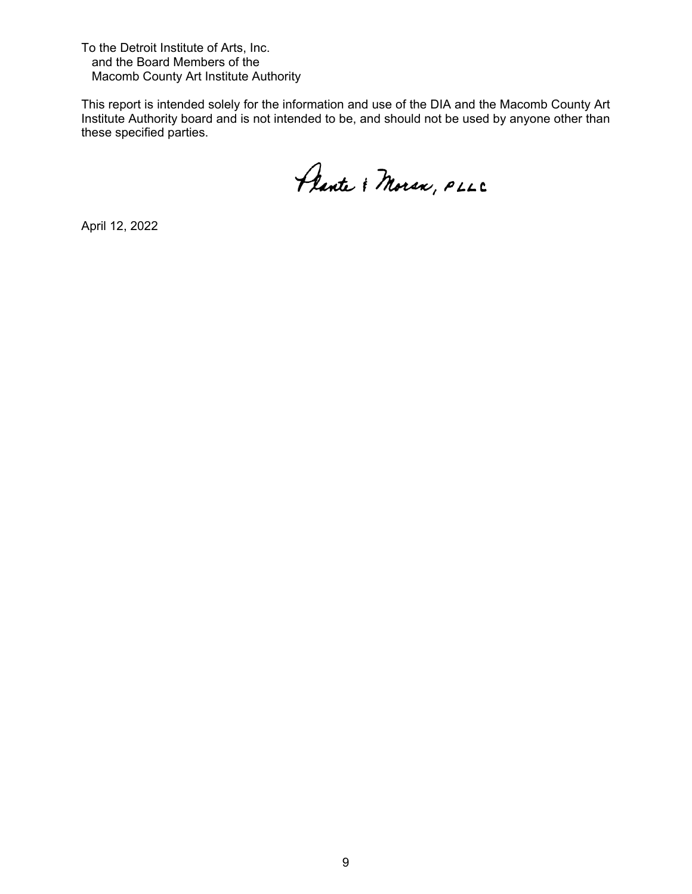This report is intended solely for the information and use of the DIA and the Macomb County Art Institute Authority board and is not intended to be, and should not be used by anyone other than these specified parties.

Plante & Moran, PLLC

April 12, 2022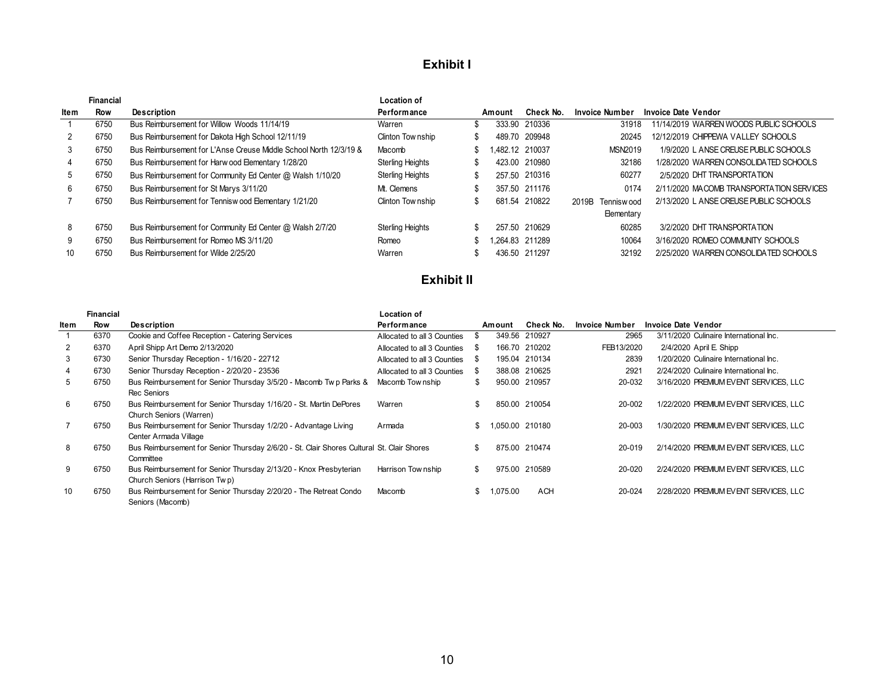### **Exhibit I**

|      | <b>Financial</b> |                                                                   | Location of             |        |                |                       |                                          |
|------|------------------|-------------------------------------------------------------------|-------------------------|--------|----------------|-----------------------|------------------------------------------|
| ltem | <b>Row</b>       | <b>Description</b>                                                | Performance             | Amount | Check No.      | <b>Invoice Number</b> | <b>Invoice Date Vendor</b>               |
|      | 6750             | Bus Reimbursement for Willow Woods 11/14/19                       | Warren                  | 333.90 | 210336         | 31918                 | 11/14/2019 WARREN WOODS PUBLIC SCHOOLS   |
|      | 6750             | Bus Reimbursement for Dakota High School 12/11/19                 | Clinton Township        |        | 489.70 209948  | 20245                 | 12/12/2019 CHIPPEWA VALLEY SCHOOLS       |
| 3    | 6750             | Bus Reimbursement for L'Anse Creuse Middle School North 12/3/19 & | Macomb                  |        | 482.12 210037  | <b>MSN2019</b>        | 1/9/2020 L ANSE CREUSE PUBLIC SCHOOLS    |
| 4    | 6750             | Bus Reimbursement for Harw ood Elementary 1/28/20                 | <b>Sterling Heights</b> | 423.00 | 210980         | 32186                 | 1/28/2020 WARREN CONSOLIDATED SCHOOLS    |
| 5    | 6750             | Bus Reimbursement for Community Ed Center @ Walsh 1/10/20         | <b>Sterling Heights</b> |        | 257 50 210316  | 60277                 | 2/5/2020 DHT TRANSPORTATION              |
| 6    | 6750             | Bus Reimbursement for St Marys 3/11/20                            | Mt. Clemens             |        | 357.50 211176  | 0174                  | 2/11/2020 MACOMB TRANSPORTATION SERVICES |
|      | 6750             | Bus Reimbursement for Tennisw ood Elementary 1/21/20              | Clinton Township        | 681.54 | 210822         | Tennisw ood<br>2019B  | 2/13/2020 L ANSE CREUSE PUBLIC SCHOOLS   |
|      |                  |                                                                   |                         |        |                | Elementary            |                                          |
| 8    | 6750             | Bus Reimbursement for Community Ed Center @ Walsh 2/7/20          | <b>Sterling Heights</b> |        | 257.50 210629  | 60285                 | 3/2/2020 DHT TRANSPORTATION              |
| 9    | 6750             | Bus Reimbursement for Romeo MS 3/11/20                            | Romeo                   |        | .264.83 211289 | 10064                 | 3/16/2020 ROMEO COMMUNITY SCHOOLS        |
| 10   | 6750             | Bus Reimbursement for Wilde 2/25/20                               | Warren                  |        | 436.50 211297  | 32192                 | 2/25/2020 WARREN CONSOLIDATED SCHOOLS    |

#### **Exhibit II**

|                | Financial |                                                                                                        | Location of                 |      |                 |               |                       |                                        |
|----------------|-----------|--------------------------------------------------------------------------------------------------------|-----------------------------|------|-----------------|---------------|-----------------------|----------------------------------------|
| Item           | Row       | <b>Description</b>                                                                                     | Performance                 |      | Amount          | Check No.     | <b>Invoice Number</b> | <b>Invoice Date Vendor</b>             |
|                | 6370      | Cookie and Coffee Reception - Catering Services                                                        | Allocated to all 3 Counties | -S   |                 | 349.56 210927 | 2965                  | 3/11/2020 Culinaire International Inc. |
| $\overline{2}$ | 6370      | April Shipp Art Demo 2/13/2020                                                                         | Allocated to all 3 Counties | - \$ |                 | 166.70 210202 | FEB13/2020            | 2/4/2020 April E. Shipp                |
| 3              | 6730      | Senior Thursday Reception - 1/16/20 - 22712                                                            | Allocated to all 3 Counties | - \$ |                 | 195.04 210134 | 2839                  | 1/20/2020 Culinaire International Inc. |
| 4              | 6730      | Senior Thursday Reception - 2/20/20 - 23536                                                            | Allocated to all 3 Counties | -S   |                 | 388.08 210625 | 2921                  | 2/24/2020 Culinaire International Inc. |
| 5              | 6750      | Bus Reimbursement for Senior Thursday 3/5/20 - Macomb Twp Parks &<br><b>Rec Seniors</b>                | Macomb Tow nship            | £.   |                 | 950.00 210957 | 20-032                | 3/16/2020 PREMIUM EVENT SERVICES, LLC  |
| 6              | 6750      | Bus Reimbursement for Senior Thursday 1/16/20 - St. Martin DePores<br>Church Seniors (Warren)          | Warren                      | \$   | 850.00          | 210054        | 20-002                | 1/22/2020 PREMIUM EVENT SERVICES, LLC  |
|                | 6750      | Bus Reimbursement for Senior Thursday 1/2/20 - Advantage Living<br>Center Armada Village               | Armada                      | \$   | 1.050.00 210180 |               | 20-003                | 1/30/2020 PREMIUM EVENT SERVICES, LLC  |
| 8              | 6750      | Bus Reimbursement for Senior Thursday 2/6/20 - St. Clair Shores Cultural St. Clair Shores<br>Committee |                             | \$   | 875.00          | 210474        | 20-019                | 2/14/2020 PREMIUM EVENT SERVICES. LLC  |
| 9              | 6750      | Bus Reimbursement for Senior Thursday 2/13/20 - Knox Presbyterian<br>Church Seniors (Harrison Twp)     | Harrison Township           | \$   | 975.00          | 210589        | 20-020                | 2/24/2020 PREMIUM EVENT SERVICES, LLC  |
| 10             | 6750      | Bus Reimbursement for Senior Thursday 2/20/20 - The Retreat Condo<br>Seniors (Macomb)                  | Macomb                      | \$   | 1,075.00        | <b>ACH</b>    | 20-024                | 2/28/2020 PREMIUM EVENT SERVICES, LLC  |